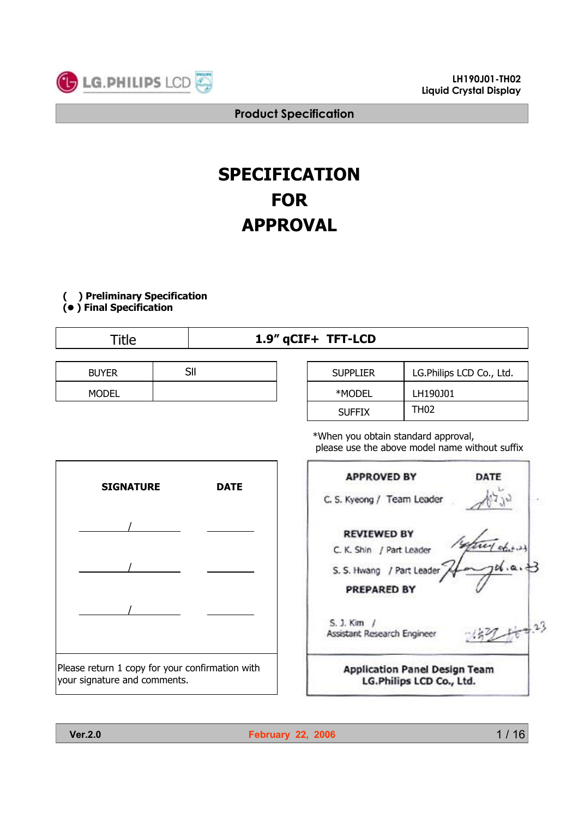

# **SPECIFICATION FOR APPROVAL**

# **( ) Preliminary Specification**

**(**● **) Final Specification**

# Title **1.9" qCIF+ TFT-LCD**

| <b>BUYER</b> | CШ<br>ווכ | <b>SUPPLIER</b> |
|--------------|-----------|-----------------|
| <b>MODEL</b> |           | $*$ MODEI       |

| <b>SUPPLIER</b> | LG.Philips LCD Co., Ltd. |
|-----------------|--------------------------|
| *MODEL          | LH190J01                 |
| <b>SUFFIX</b>   | TH <sub>02</sub>         |

\*When you obtain standard approval, please use the above model name without suffix





**Ver.2.0 February 22, 2006**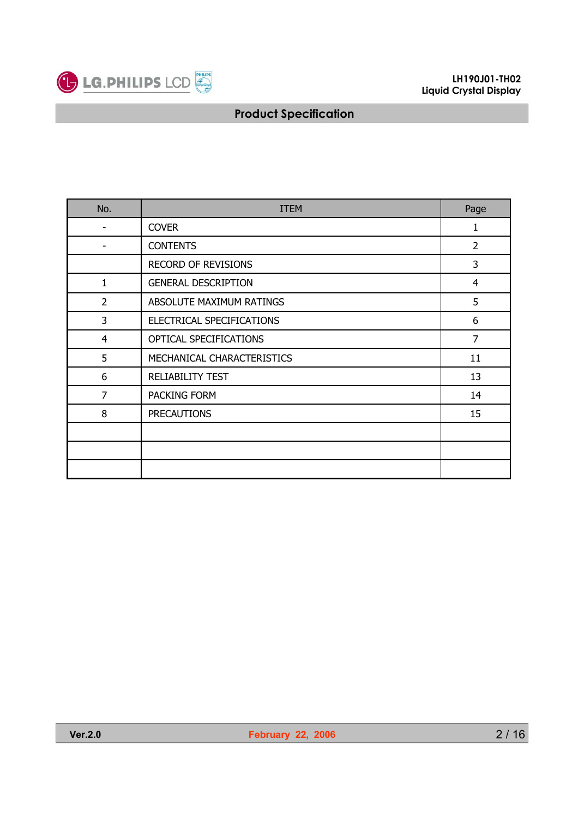

| No.            | <b>ITEM</b>                | Page           |
|----------------|----------------------------|----------------|
|                | <b>COVER</b>               | 1              |
|                | <b>CONTENTS</b>            | $\overline{2}$ |
|                | <b>RECORD OF REVISIONS</b> | 3              |
| 1              | <b>GENERAL DESCRIPTION</b> | 4              |
| $\overline{2}$ | ABSOLUTE MAXIMUM RATINGS   | 5              |
| 3              | ELECTRICAL SPECIFICATIONS  | 6              |
| 4              | OPTICAL SPECIFICATIONS     | 7              |
| 5              | MECHANICAL CHARACTERISTICS | 11             |
| 6              | <b>RELIABILITY TEST</b>    | 13             |
| $\overline{7}$ | PACKING FORM               | 14             |
| 8              | <b>PRECAUTIONS</b>         | 15             |
|                |                            |                |
|                |                            |                |
|                |                            |                |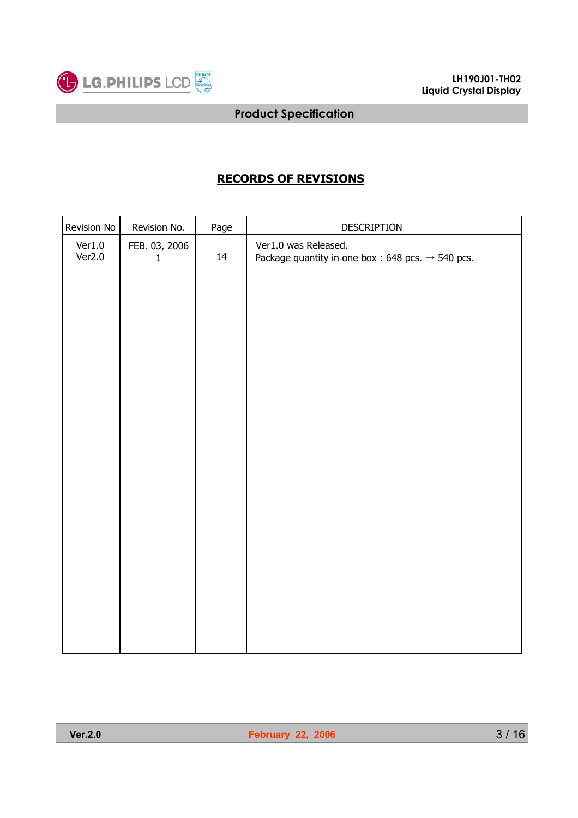

# **RECORDS OF REVISIONS**

| Revision No      | Revision No.                  | Page | DESCRIPTION                                                                          |
|------------------|-------------------------------|------|--------------------------------------------------------------------------------------|
| Ver1.0<br>Ver2.0 | FEB. 03, 2006<br>$\mathbf{1}$ | 14   | Ver1.0 was Released.<br>Package quantity in one box: 648 pcs. $\rightarrow$ 540 pcs. |
|                  |                               |      |                                                                                      |
|                  |                               |      |                                                                                      |
|                  |                               |      |                                                                                      |
|                  |                               |      |                                                                                      |
|                  |                               |      |                                                                                      |
|                  |                               |      |                                                                                      |
|                  |                               |      |                                                                                      |
|                  |                               |      |                                                                                      |
|                  |                               |      |                                                                                      |
|                  |                               |      |                                                                                      |
|                  |                               |      |                                                                                      |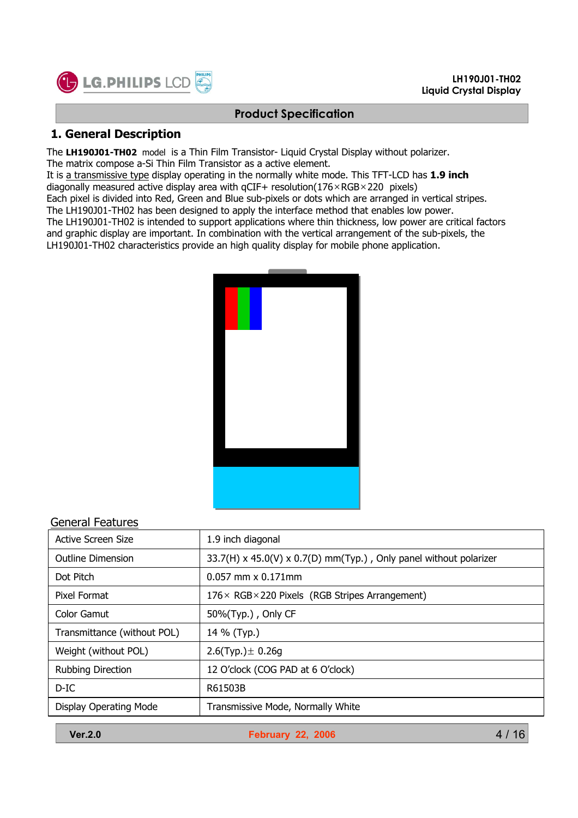

# **1. General Description**

The **LH190J01-TH02** model is a Thin Film Transistor- Liquid Crystal Display without polarizer. The matrix compose a-Si Thin Film Transistor as a active element.

It is a transmissive type display operating in the normally white mode. This TFT-LCD has **1.9 inch** diagonally measured active display area with  $qCIF+$  resolution( $176 \times RGB \times 220$  pixels)

Each pixel is divided into Red, Green and Blue sub-pixels or dots which are arranged in vertical stripes.

The LH190J01-TH02 has been designed to apply the interface method that enables low power.

The LH190J01-TH02 is intended to support applications where thin thickness, low power are critical factors and graphic display are important. In combination with the vertical arrangement of the sub-pixels, the LH190J01-TH02 characteristics provide an high quality display for mobile phone application.



### General Features

| 1.9 inch diagonal                                                 |
|-------------------------------------------------------------------|
| 33.7(H) x 45.0(V) x 0.7(D) mm(Typ.), Only panel without polarizer |
| $0.057$ mm $\times$ 0.171mm                                       |
| $176 \times$ RGB × 220 Pixels (RGB Stripes Arrangement)           |
| 50%(Typ.), Only CF                                                |
| 14 % (Typ.)                                                       |
| 2.6(Typ.) $\pm$ 0.26g                                             |
| 12 O'clock (COG PAD at 6 O'clock)                                 |
| R61503B                                                           |
| Transmissive Mode, Normally White                                 |
|                                                                   |

**Ver.2.0 February 22, 2006**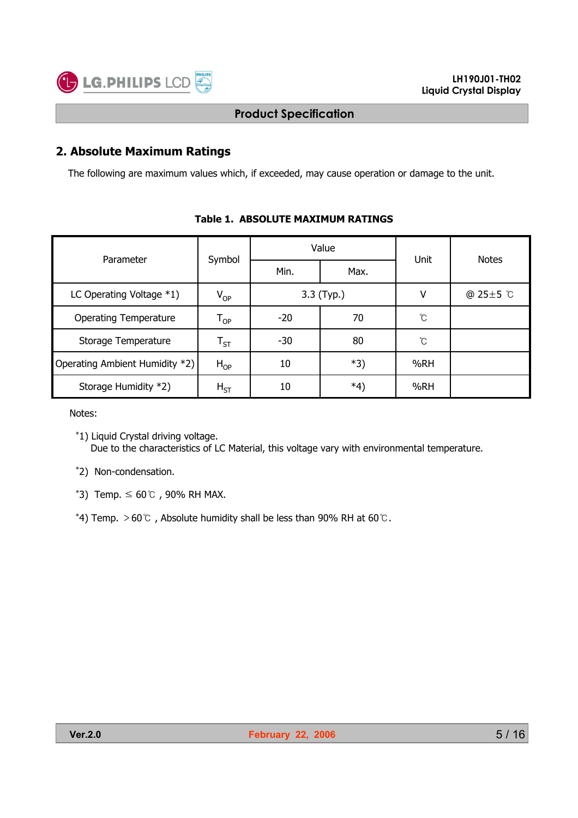

### **2. Absolute Maximum Ratings**

The following are maximum values which, if exceeded, may cause operation or damage to the unit.

| Parameter                      |                            |             | Value      | Unit | <b>Notes</b>    |
|--------------------------------|----------------------------|-------------|------------|------|-----------------|
|                                | Symbol                     | Min.        | Max.       |      |                 |
| LC Operating Voltage $*1$ )    | $V_{OP}$                   |             | 3.3 (Typ.) | v    | @ $25 \pm 5$ °C |
| <b>Operating Temperature</b>   | $\mathsf{T}_{\mathsf{OP}}$ | 70<br>$-20$ |            | Ĉ    |                 |
| Storage Temperature            | $\mathsf{T}_{\mathsf{ST}}$ | $-30$       | 80         | Ĉ    |                 |
| Operating Ambient Humidity *2) | $H_{OP}$                   | 10          | *3)        | %RH  |                 |
| Storage Humidity *2)           | $H_{ST}$                   | 10          | *4)        | %RH  |                 |

#### **Table 1. ABSOLUTE MAXIMUM RATINGS**

Notes:

\*2) Non-condensation.

 $*$ 3) Temp.  $\leq 60^{\circ}$  , 90% RH MAX.

\*4) Temp.  $>60^{\circ}$  , Absolute humidity shall be less than 90% RH at 60 $\circ$ .

<sup>\*1)</sup> Liquid Crystal driving voltage. Due to the characteristics of LC Material, this voltage vary with environmental temperature.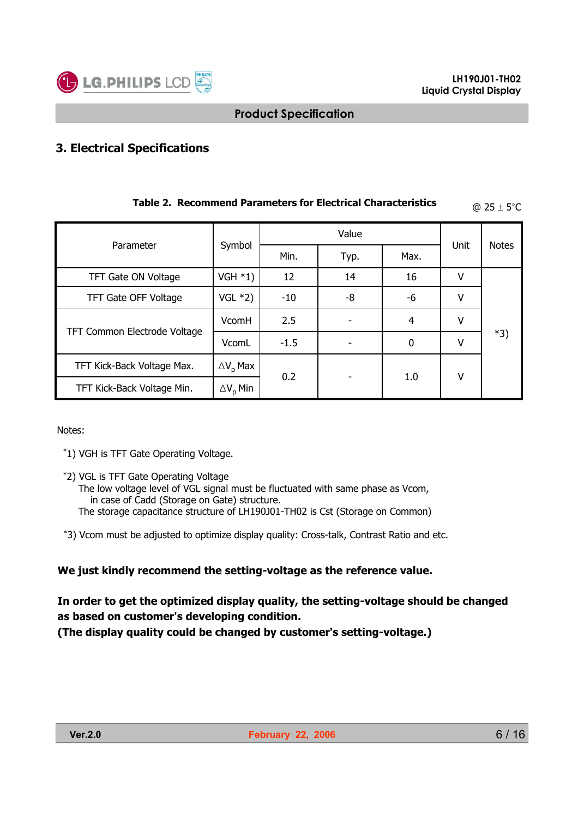

# **3. Electrical Specifications**

| Parameter                    |                        |        | Value |                  |      |              |
|------------------------------|------------------------|--------|-------|------------------|------|--------------|
|                              | Symbol                 | Min.   | Typ.  | Max.             | Unit | <b>Notes</b> |
| TFT Gate ON Voltage          | VGH $*1)$              | 12     | 14    | 16               | v    |              |
| TFT Gate OFF Voltage         | VGL $*2)$              | $-10$  | -8    | -6               | ۷    |              |
|                              | VcomH                  | 2.5    |       | 4                | v    |              |
| TFT Common Electrode Voltage | VcomL                  | $-1.5$ |       | $\boldsymbol{0}$ | v    | $*3)$        |
| TFT Kick-Back Voltage Max.   | $\Delta V_{\rm p}$ Max | 0.2    |       |                  | ٧    |              |
| TFT Kick-Back Voltage Min.   | $\Delta V_{\rm p}$ Min |        |       | 1.0              |      |              |

# **Table 2. Recommend Parameters for Electrical Characteristics**  $\qquad \qquad \textcircled{a 25} \pm 5^{\circ} \text{C}$

Notes:

\*1) VGH is TFT Gate Operating Voltage.

- \*2) VGL is TFT Gate Operating Voltage
	- The low voltage level of VGL signal must be fluctuated with same phase as Vcom, in case of Cadd (Storage on Gate) structure. The storage capacitance structure of LH190J01-TH02 is Cst (Storage on Common)
- \*3) Vcom must be adjusted to optimize display quality: Cross-talk, Contrast Ratio and etc.

#### **We just kindly recommend the setting-voltage as the reference value.**

# **In order to get the optimized display quality, the setting-voltage should be changed as based on customer's developing condition.**

**(The display quality could be changed by customer's setting-voltage.)**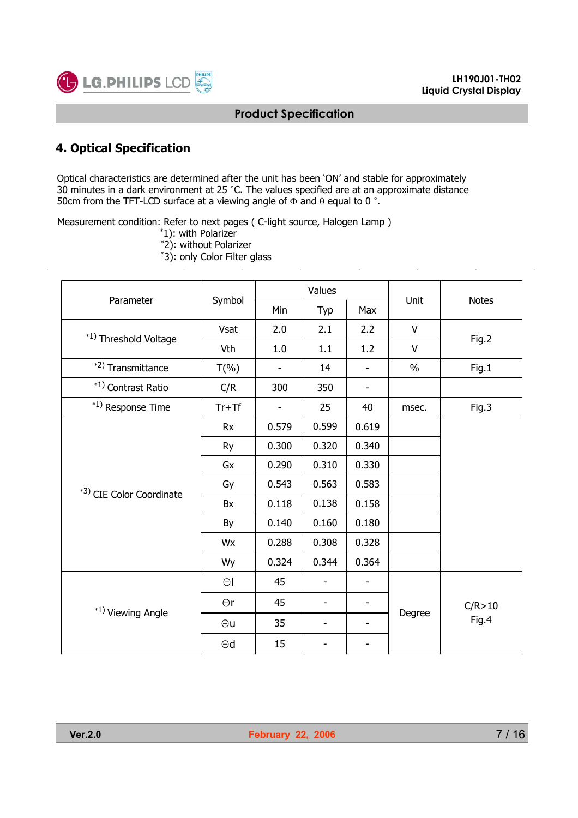

# **4. Optical Specification**

Optical characteristics are determined after the unit has been 'ON' and stable for approximately 30 minutes in a dark environment at 25 °C. The values specified are at an approximate distance 50cm from the TFT-LCD surface at a viewing angle of  $\Phi$  and  $\theta$  equal to 0 °.

Measurement condition: Refer to next pages ( C-light source, Halogen Lamp )

- \*1): with Polarizer
- \*2): without Polarizer
- \*3): only Color Filter glass

| Parameter                |             |                | Values                   |       | Unit          | <b>Notes</b> |  |
|--------------------------|-------------|----------------|--------------------------|-------|---------------|--------------|--|
|                          | Symbol      | Min            | Typ                      | Max   |               |              |  |
| *1) Threshold Voltage    | <b>Vsat</b> | 2.0            | 2.1                      | 2.2   | V             |              |  |
|                          | Vth         | 1.0            | 1.1                      | 1.2   | V             | Fig.2        |  |
| *2) Transmittance        | $T(\% )$    |                | 14                       |       | $\frac{0}{0}$ | Fig.1        |  |
| *1) Contrast Ratio       | C/R         | 300            | 350                      | -     |               |              |  |
| *1) Response Time        | $Tr+Tf$     | $\overline{a}$ | 25                       | 40    | msec.         | Fig.3        |  |
|                          | <b>Rx</b>   | 0.579          | 0.599                    | 0.619 |               |              |  |
|                          | Ry          | 0.300          | 0.320                    | 0.340 |               |              |  |
|                          | Gx          | 0.290          | 0.310                    | 0.330 |               |              |  |
| *3) CIE Color Coordinate | Gy          | 0.543          | 0.563                    | 0.583 |               |              |  |
|                          | Bx          | 0.118          | 0.138                    | 0.158 |               |              |  |
|                          | By          | 0.140          | 0.160                    | 0.180 |               |              |  |
|                          | Wx          | 0.288          | 0.308                    | 0.328 |               |              |  |
|                          | Wy          | 0.324          | 0.344                    | 0.364 |               |              |  |
|                          | $\Theta$    | 45             |                          |       |               |              |  |
| *1) Viewing Angle        | $\Theta$ r  | 45             | $\overline{\phantom{a}}$ | -     |               | C/R > 10     |  |
|                          | $\Theta$ u  | 35             | $\overline{\phantom{a}}$ |       | Degree        | Fig.4        |  |
|                          | $\Theta$ d  | 15             |                          |       |               |              |  |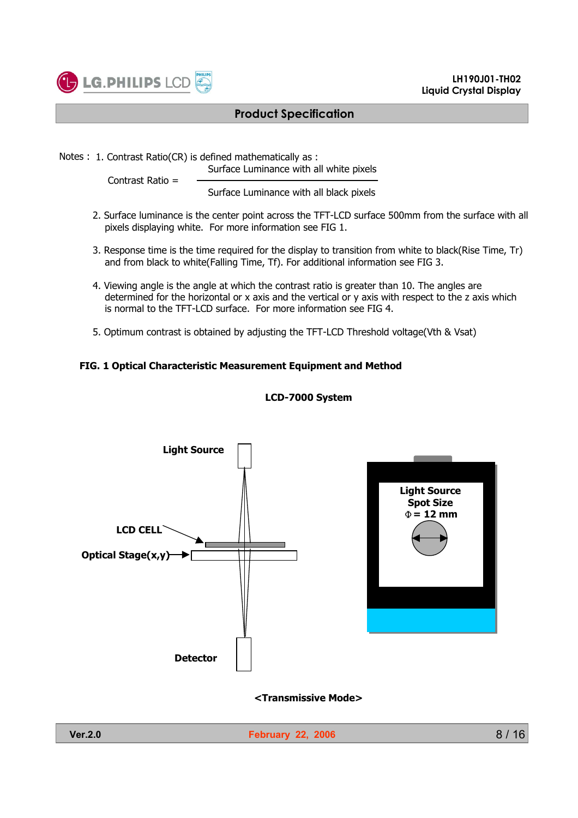

Notes : 1. Contrast Ratio(CR) is defined mathematically as :

Surface Luminance with all white pixels

Contrast Ratio =

Surface Luminance with all black pixels

- 2. Surface luminance is the center point across the TFT-LCD surface 500mm from the surface with all pixels displaying white. For more information see FIG 1.
- 3. Response time is the time required for the display to transition from white to black(Rise Time, Tr) and from black to white(Falling Time, Tf). For additional information see FIG 3.
- 4. Viewing angle is the angle at which the contrast ratio is greater than 10. The angles are determined for the horizontal or x axis and the vertical or y axis with respect to the z axis which is normal to the TFT-LCD surface. For more information see FIG 4.
- 5. Optimum contrast is obtained by adjusting the TFT-LCD Threshold voltage(Vth & Vsat)

#### **FIG. 1 Optical Characteristic Measurement Equipment and Method**



#### **LCD-7000 System**

#### **<Transmissive Mode>**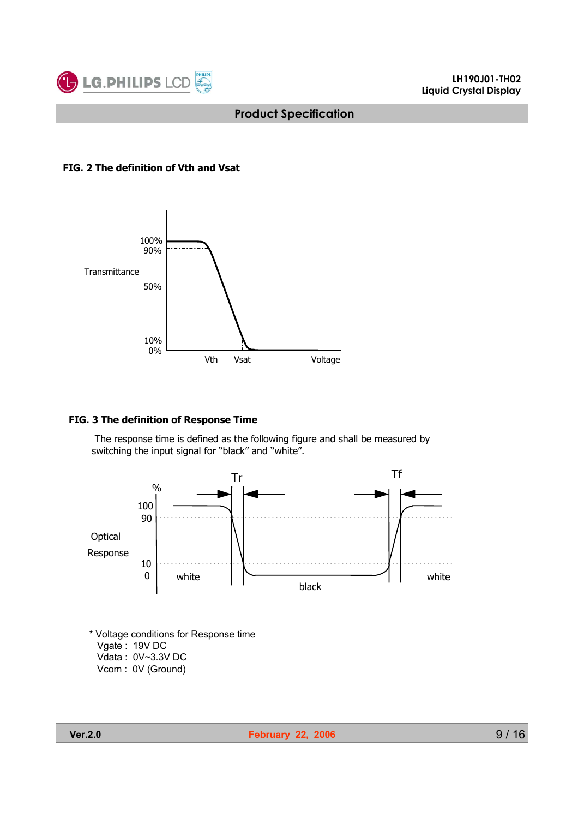

#### **FIG. 2 The definition of Vth and Vsat**



#### **FIG. 3 The definition of Response Time**

The response time is defined as the following figure and shall be measured by switching the input signal for "black" and "white".



\* Voltage conditions for Response time Vgate : 19V DC Vdata : 0V~3.3V DC Vcom : 0V (Ground)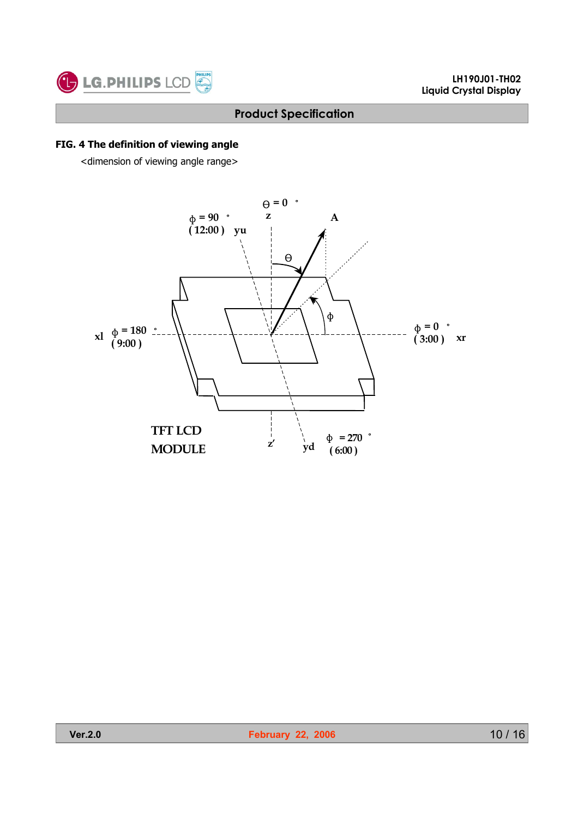

#### **FIG. 4 The definition of viewing angle**

<dimension of viewing angle range>

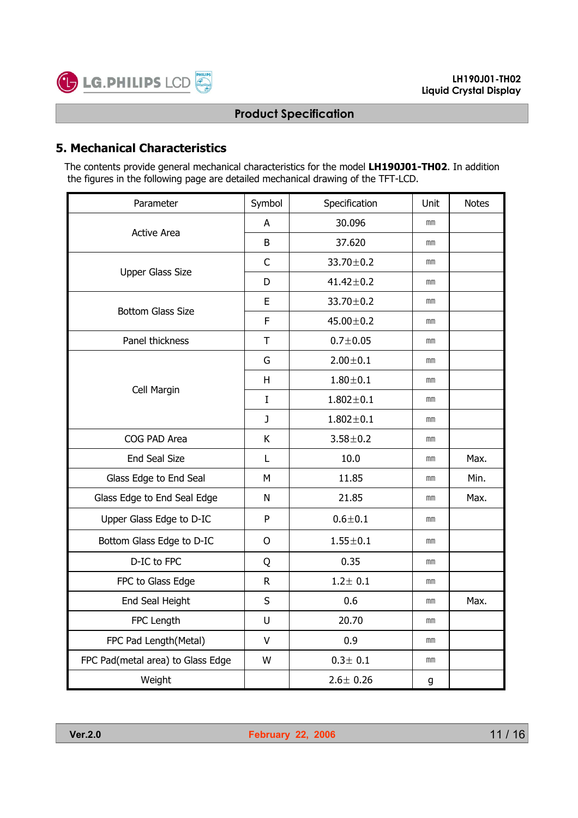

# **5. Mechanical Characteristics**

The contents provide general mechanical characteristics for the model **LH190J01-TH02**. In addition the figures in the following page are detailed mechanical drawing of the TFT-LCD.

| Parameter                         | Symbol                                                                                                                                                                                                                                                                                                                                                                                                                        | Specification | Unit | <b>Notes</b> |
|-----------------------------------|-------------------------------------------------------------------------------------------------------------------------------------------------------------------------------------------------------------------------------------------------------------------------------------------------------------------------------------------------------------------------------------------------------------------------------|---------------|------|--------------|
| <b>Active Area</b>                | A                                                                                                                                                                                                                                                                                                                                                                                                                             | 30.096        | mm   |              |
|                                   | B<br>37.620<br>$\mathsf{C}$<br>33.70±0.2<br>D<br>$41.42 \pm 0.2$<br>E<br>33.70±0.2<br>F<br>$45.00 \pm 0.2$<br>T<br>$0.7 + 0.05$<br>$2.00 + 0.1$<br>G<br>$1.80 + 0.1$<br>H<br>L<br>$1.802 \pm 0.1$<br>$\mathbf{J}$<br>$1.802 \pm 0.1$<br>K<br>$3.58 + 0.2$<br>10.0<br>L<br>M<br>11.85<br>21.85<br>N<br>P<br>$0.6 + 0.1$<br>$1.55 + 0.1$<br>$\mathsf{O}$<br>0.35<br>Q<br>$1.2 \pm 0.1$<br>$\mathsf R$<br>S<br>0.6<br>20.70<br>U | mm            |      |              |
|                                   |                                                                                                                                                                                                                                                                                                                                                                                                                               |               | mm   |              |
| <b>Upper Glass Size</b>           |                                                                                                                                                                                                                                                                                                                                                                                                                               |               | mm   |              |
| <b>Bottom Glass Size</b>          |                                                                                                                                                                                                                                                                                                                                                                                                                               |               | mm   |              |
|                                   | 0.9<br>v<br>$0.3 \pm 0.1$<br>W<br>$2.6 \pm 0.26$                                                                                                                                                                                                                                                                                                                                                                              | mm            |      |              |
| Panel thickness                   |                                                                                                                                                                                                                                                                                                                                                                                                                               |               | mm   |              |
|                                   |                                                                                                                                                                                                                                                                                                                                                                                                                               |               | mm   |              |
| Cell Margin                       |                                                                                                                                                                                                                                                                                                                                                                                                                               |               | mm   |              |
|                                   |                                                                                                                                                                                                                                                                                                                                                                                                                               |               | mm   |              |
|                                   |                                                                                                                                                                                                                                                                                                                                                                                                                               |               | mm   |              |
| COG PAD Area                      |                                                                                                                                                                                                                                                                                                                                                                                                                               |               | mm   |              |
| <b>End Seal Size</b>              |                                                                                                                                                                                                                                                                                                                                                                                                                               |               | mm   | Max.         |
| Glass Edge to End Seal            |                                                                                                                                                                                                                                                                                                                                                                                                                               |               | mm   | Min.         |
| Glass Edge to End Seal Edge       |                                                                                                                                                                                                                                                                                                                                                                                                                               |               | mm   | Max.         |
| Upper Glass Edge to D-IC          |                                                                                                                                                                                                                                                                                                                                                                                                                               |               | mm   |              |
| Bottom Glass Edge to D-IC         |                                                                                                                                                                                                                                                                                                                                                                                                                               |               | mm   |              |
| D-IC to FPC                       |                                                                                                                                                                                                                                                                                                                                                                                                                               |               | mm   |              |
| FPC to Glass Edge                 |                                                                                                                                                                                                                                                                                                                                                                                                                               |               | mm   |              |
| End Seal Height                   |                                                                                                                                                                                                                                                                                                                                                                                                                               |               | mm   | Max.         |
| FPC Length                        |                                                                                                                                                                                                                                                                                                                                                                                                                               |               | mm   |              |
| FPC Pad Length(Metal)             |                                                                                                                                                                                                                                                                                                                                                                                                                               |               | mm   |              |
| FPC Pad(metal area) to Glass Edge |                                                                                                                                                                                                                                                                                                                                                                                                                               |               | mm   |              |
| Weight                            |                                                                                                                                                                                                                                                                                                                                                                                                                               |               | g    |              |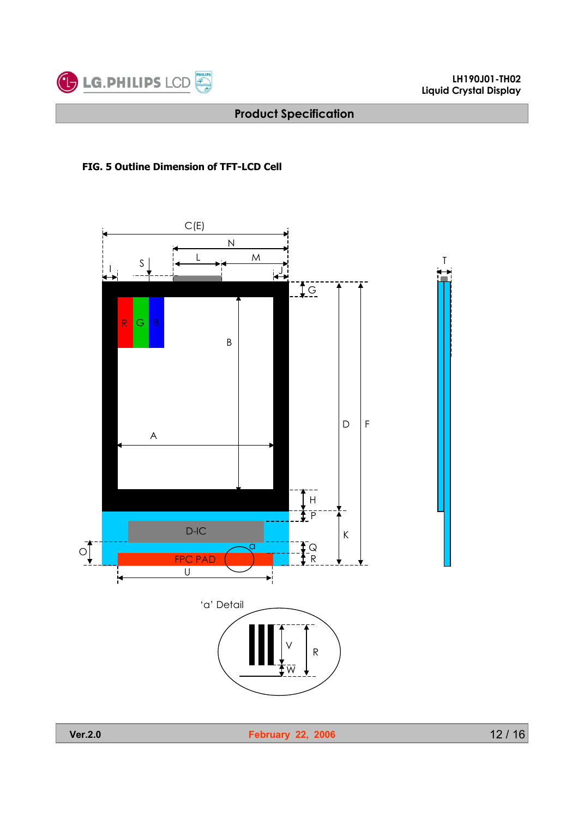

### **FIG. 5 Outline Dimension of TFT-LCD Cell**

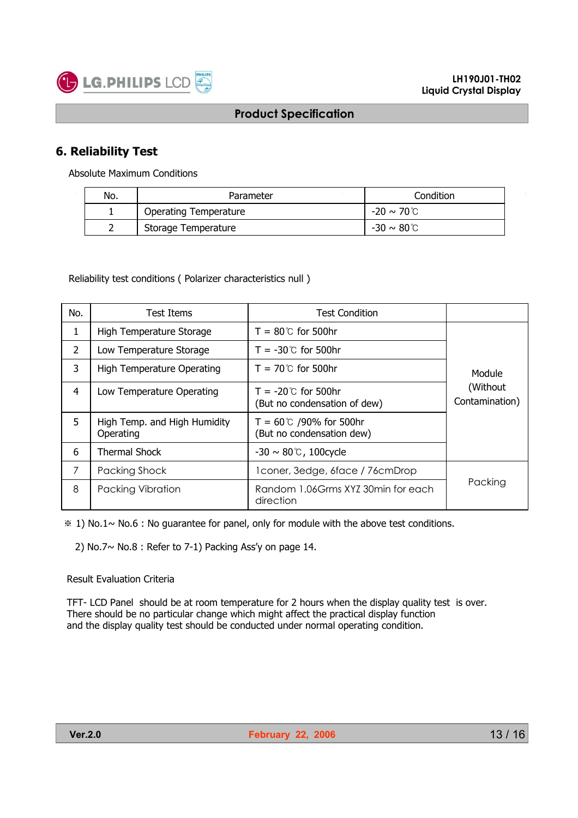

# **6. Reliability Test**

Absolute Maximum Conditions

| No. | Parameter                    | Condition               |  |
|-----|------------------------------|-------------------------|--|
|     | <b>Operating Temperature</b> | -20 ~ 70℃               |  |
|     | Storage Temperature          | $-30 \sim 80^{\circ}$ C |  |

Reliability test conditions ( Polarizer characteristics null )

| No.            | Test Items                                | <b>Test Condition</b>                                         |                             |
|----------------|-------------------------------------------|---------------------------------------------------------------|-----------------------------|
| 1              | High Temperature Storage                  | $T = 80^{\circ}$ for 500hr                                    |                             |
| $\overline{2}$ | Low Temperature Storage                   | $T = -30^{\circ}$ for 500hr                                   |                             |
| 3              | High Temperature Operating                | $T = 70^{\circ}$ for 500hr                                    | Module                      |
| 4              | Low Temperature Operating                 | $T = -20^{\circ}$ for 500hr<br>(But no condensation of dew)   | (Without)<br>Contamination) |
| 5              | High Temp. and High Humidity<br>Operating | $T = 60^{\circ}C$ /90% for 500hr<br>(But no condensation dew) |                             |
| 6              | <b>Thermal Shock</b>                      | $-30 \sim 80$ °C, 100 cycle                                   |                             |
| 7              | Packing Shock                             | 1 coner, 3edge, 6face / 76 cm Drop                            |                             |
| 8              | <b>Packing Vibration</b>                  | Random 1.06Grms XYZ 30min for each<br>direction               | Packing                     |

 $*1$ ) No.1~ No.6 : No guarantee for panel, only for module with the above test conditions.

2) No.7 $\sim$  No.8 : Refer to 7-1) Packing Ass'y on page 14.

#### Result Evaluation Criteria

TFT- LCD Panel should be at room temperature for 2 hours when the display quality test is over. There should be no particular change which might affect the practical display function and the display quality test should be conducted under normal operating condition.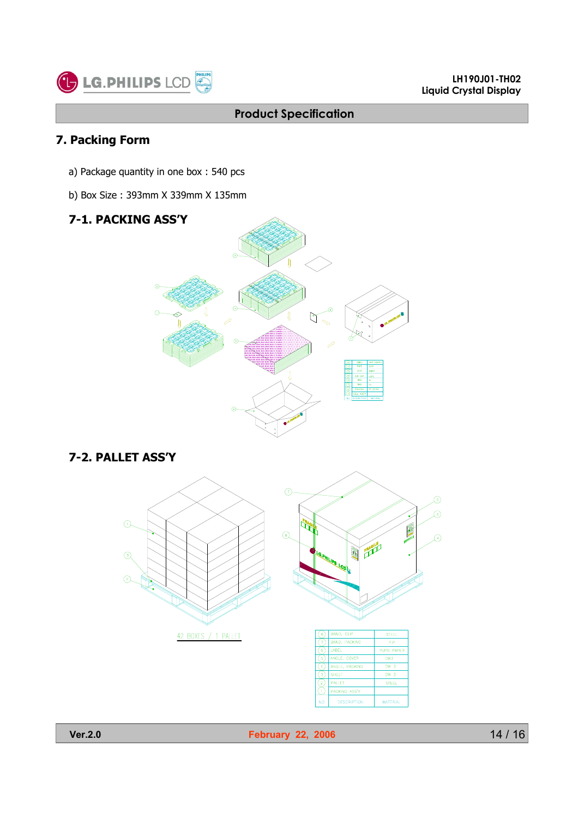

# **7. Packing Form**

- a) Package quantity in one box : 540 pcs
- b) Box Size : 393mm X 339mm X 135mm

# **7-1. PACKING ASS'Y**



### **7-2. PALLET ASS'Y**





**Ver.2.0 February 22, 2006** 

**DESCRI** 

PTION

**MATERIAL**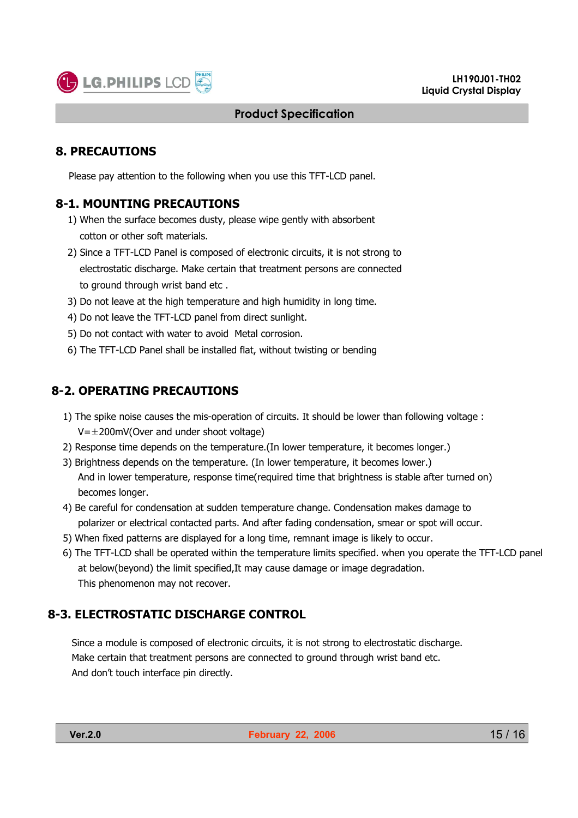

#### **8. PRECAUTIONS**

Please pay attention to the following when you use this TFT-LCD panel.

#### **8-1. MOUNTING PRECAUTIONS**

- 1) When the surface becomes dusty, please wipe gently with absorbent cotton or other soft materials.
- 2) Since a TFT-LCD Panel is composed of electronic circuits, it is not strong to electrostatic discharge. Make certain that treatment persons are connected to ground through wrist band etc .
- 3) Do not leave at the high temperature and high humidity in long time.
- 4) Do not leave the TFT-LCD panel from direct sunlight.
- 5) Do not contact with water to avoid Metal corrosion.
- 6) The TFT-LCD Panel shall be installed flat, without twisting or bending

### **8-2. OPERATING PRECAUTIONS**

- 1) The spike noise causes the mis-operation of circuits. It should be lower than following voltage :  $V=\pm 200$ mV(Over and under shoot voltage)
- 2) Response time depends on the temperature.(In lower temperature, it becomes longer.)
- 3) Brightness depends on the temperature. (In lower temperature, it becomes lower.) And in lower temperature, response time(required time that brightness is stable after turned on) becomes longer.
- 4) Be careful for condensation at sudden temperature change. Condensation makes damage to polarizer or electrical contacted parts. And after fading condensation, smear or spot will occur.
- 5) When fixed patterns are displayed for a long time, remnant image is likely to occur.
- 6) The TFT-LCD shall be operated within the temperature limits specified. when you operate the TFT-LCD panel at below(beyond) the limit specified,It may cause damage or image degradation. This phenomenon may not recover.

#### **8-3. ELECTROSTATIC DISCHARGE CONTROL**

Since a module is composed of electronic circuits, it is not strong to electrostatic discharge. Make certain that treatment persons are connected to ground through wrist band etc. And don't touch interface pin directly.